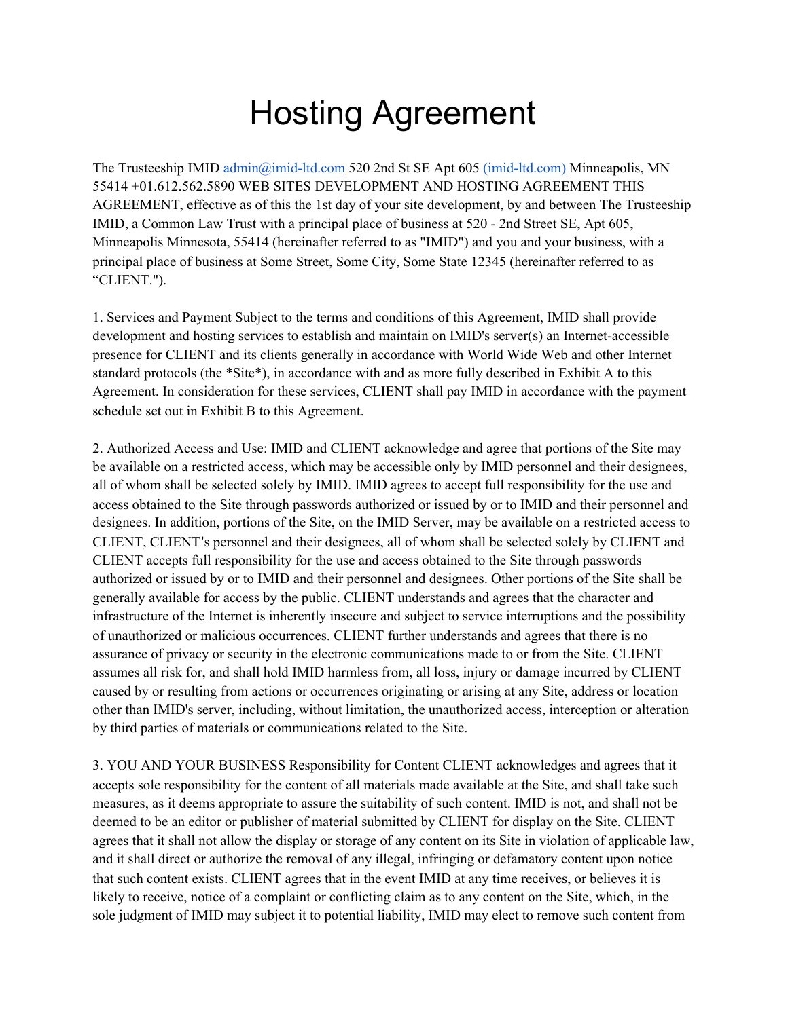## Hosting Agreement

The Trusteeship IMID [admin@imid-ltd.com](mailto:admin@imid-ltd.com) 520 2nd St SE Apt 605 [\(imid-ltd.com\)](https://imid-ltd.com/) Minneapolis, MN 55414 +01.612.562.5890 WEB SITES DEVELOPMENT AND HOSTING AGREEMENT THIS AGREEMENT, effective as of this the 1st day of your site development, by and between The Trusteeship IMID, a Common Law Trust with a principal place of business at 520 - 2nd Street SE, Apt 605, Minneapolis Minnesota, 55414 (hereinafter referred to as "IMID") and you and your business, with a principal place of business at Some Street, Some City, Some State 12345 (hereinafter referred to as "CLIENT.").

1. Services and Payment Subject to the terms and conditions of this Agreement, IMID shall provide development and hosting services to establish and maintain on IMID's server(s) an Internet-accessible presence for CLIENT and its clients generally in accordance with World Wide Web and other Internet standard protocols (the \*Site\*), in accordance with and as more fully described in Exhibit A to this Agreement. In consideration for these services, CLIENT shall pay IMID in accordance with the payment schedule set out in Exhibit B to this Agreement.

2. Authorized Access and Use: IMID and CLIENT acknowledge and agree that portions of the Site may be available on a restricted access, which may be accessible only by IMID personnel and their designees, all of whom shall be selected solely by IMID. IMID agrees to accept full responsibility for the use and access obtained to the Site through passwords authorized or issued by or to IMID and their personnel and designees. In addition, portions of the Site, on the IMID Server, may be available on a restricted access to CLIENT, CLIENT's personnel and their designees, all of whom shall be selected solely by CLIENT and CLIENT accepts full responsibility for the use and access obtained to the Site through passwords authorized or issued by or to IMID and their personnel and designees. Other portions of the Site shall be generally available for access by the public. CLIENT understands and agrees that the character and infrastructure of the Internet is inherently insecure and subject to service interruptions and the possibility of unauthorized or malicious occurrences. CLIENT further understands and agrees that there is no assurance of privacy or security in the electronic communications made to or from the Site. CLIENT assumes all risk for, and shall hold IMID harmless from, all loss, injury or damage incurred by CLIENT caused by or resulting from actions or occurrences originating or arising at any Site, address or location other than IMID's server, including, without limitation, the unauthorized access, interception or alteration by third parties of materials or communications related to the Site.

3. YOU AND YOUR BUSINESS Responsibility for Content CLIENT acknowledges and agrees that it accepts sole responsibility for the content of all materials made available at the Site, and shall take such measures, as it deems appropriate to assure the suitability of such content. IMID is not, and shall not be deemed to be an editor or publisher of material submitted by CLIENT for display on the Site. CLIENT agrees that it shall not allow the display or storage of any content on its Site in violation of applicable law, and it shall direct or authorize the removal of any illegal, infringing or defamatory content upon notice that such content exists. CLIENT agrees that in the event IMID at any time receives, or believes it is likely to receive, notice of a complaint or conflicting claim as to any content on the Site, which, in the sole judgment of IMID may subject it to potential liability, IMID may elect to remove such content from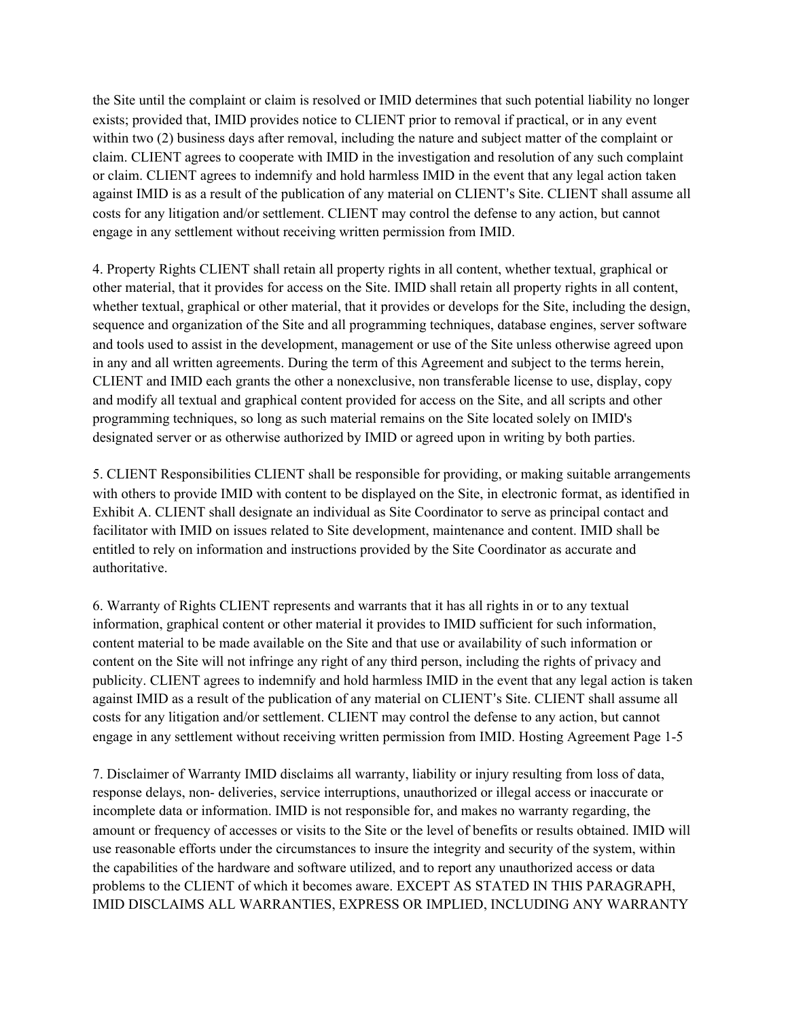the Site until the complaint or claim is resolved or IMID determines that such potential liability no longer exists; provided that, IMID provides notice to CLIENT prior to removal if practical, or in any event within two (2) business days after removal, including the nature and subject matter of the complaint or claim. CLIENT agrees to cooperate with IMID in the investigation and resolution of any such complaint or claim. CLIENT agrees to indemnify and hold harmless IMID in the event that any legal action taken against IMID is as a result of the publication of any material on CLIENT's Site. CLIENT shall assume all costs for any litigation and/or settlement. CLIENT may control the defense to any action, but cannot engage in any settlement without receiving written permission from IMID.

4. Property Rights CLIENT shall retain all property rights in all content, whether textual, graphical or other material, that it provides for access on the Site. IMID shall retain all property rights in all content, whether textual, graphical or other material, that it provides or develops for the Site, including the design, sequence and organization of the Site and all programming techniques, database engines, server software and tools used to assist in the development, management or use of the Site unless otherwise agreed upon in any and all written agreements. During the term of this Agreement and subject to the terms herein, CLIENT and IMID each grants the other a nonexclusive, non transferable license to use, display, copy and modify all textual and graphical content provided for access on the Site, and all scripts and other programming techniques, so long as such material remains on the Site located solely on IMID's designated server or as otherwise authorized by IMID or agreed upon in writing by both parties.

5. CLIENT Responsibilities CLIENT shall be responsible for providing, or making suitable arrangements with others to provide IMID with content to be displayed on the Site, in electronic format, as identified in Exhibit A. CLIENT shall designate an individual as Site Coordinator to serve as principal contact and facilitator with IMID on issues related to Site development, maintenance and content. IMID shall be entitled to rely on information and instructions provided by the Site Coordinator as accurate and authoritative.

6. Warranty of Rights CLIENT represents and warrants that it has all rights in or to any textual information, graphical content or other material it provides to IMID sufficient for such information, content material to be made available on the Site and that use or availability of such information or content on the Site will not infringe any right of any third person, including the rights of privacy and publicity. CLIENT agrees to indemnify and hold harmless IMID in the event that any legal action is taken against IMID as a result of the publication of any material on CLIENT's Site. CLIENT shall assume all costs for any litigation and/or settlement. CLIENT may control the defense to any action, but cannot engage in any settlement without receiving written permission from IMID. Hosting Agreement Page 1-5

7. Disclaimer of Warranty IMID disclaims all warranty, liability or injury resulting from loss of data, response delays, non- deliveries, service interruptions, unauthorized or illegal access or inaccurate or incomplete data or information. IMID is not responsible for, and makes no warranty regarding, the amount or frequency of accesses or visits to the Site or the level of benefits or results obtained. IMID will use reasonable efforts under the circumstances to insure the integrity and security of the system, within the capabilities of the hardware and software utilized, and to report any unauthorized access or data problems to the CLIENT of which it becomes aware. EXCEPT AS STATED IN THIS PARAGRAPH, IMID DISCLAIMS ALL WARRANTIES, EXPRESS OR IMPLIED, INCLUDING ANY WARRANTY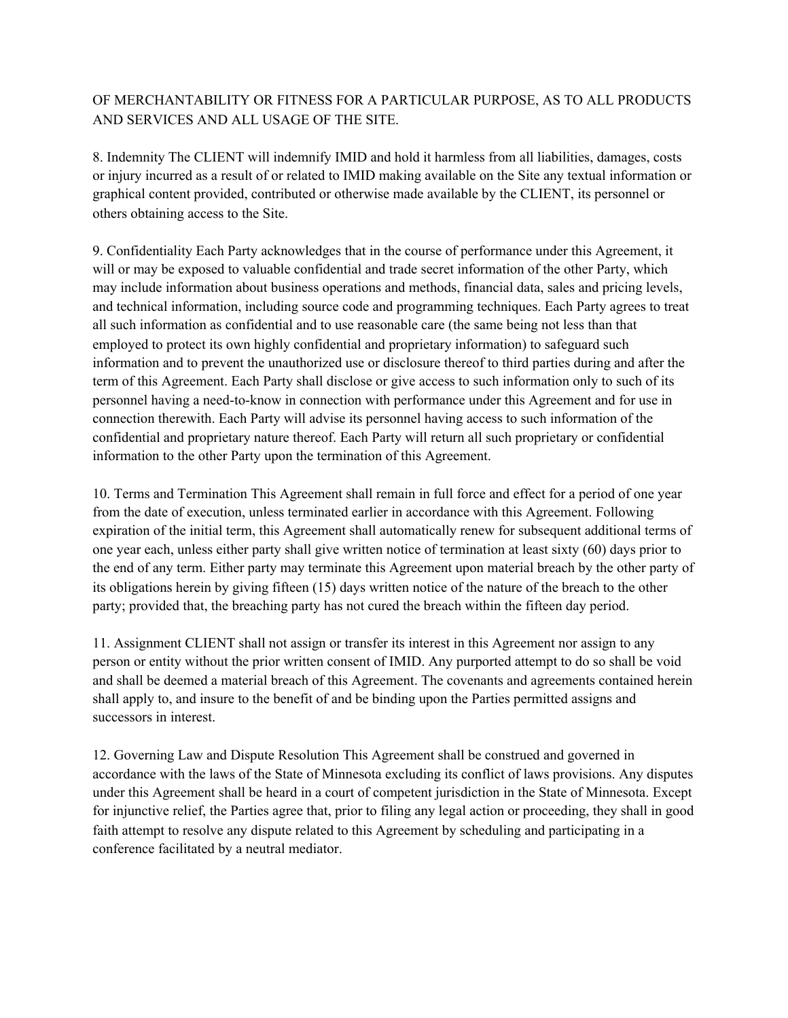## OF MERCHANTABILITY OR FITNESS FOR A PARTICULAR PURPOSE, AS TO ALL PRODUCTS AND SERVICES AND ALL USAGE OF THE SITE.

8. Indemnity The CLIENT will indemnify IMID and hold it harmless from all liabilities, damages, costs or injury incurred as a result of or related to IMID making available on the Site any textual information or graphical content provided, contributed or otherwise made available by the CLIENT, its personnel or others obtaining access to the Site.

9. Confidentiality Each Party acknowledges that in the course of performance under this Agreement, it will or may be exposed to valuable confidential and trade secret information of the other Party, which may include information about business operations and methods, financial data, sales and pricing levels, and technical information, including source code and programming techniques. Each Party agrees to treat all such information as confidential and to use reasonable care (the same being not less than that employed to protect its own highly confidential and proprietary information) to safeguard such information and to prevent the unauthorized use or disclosure thereof to third parties during and after the term of this Agreement. Each Party shall disclose or give access to such information only to such of its personnel having a need-to-know in connection with performance under this Agreement and for use in connection therewith. Each Party will advise its personnel having access to such information of the confidential and proprietary nature thereof. Each Party will return all such proprietary or confidential information to the other Party upon the termination of this Agreement.

10. Terms and Termination This Agreement shall remain in full force and effect for a period of one year from the date of execution, unless terminated earlier in accordance with this Agreement. Following expiration of the initial term, this Agreement shall automatically renew for subsequent additional terms of one year each, unless either party shall give written notice of termination at least sixty (60) days prior to the end of any term. Either party may terminate this Agreement upon material breach by the other party of its obligations herein by giving fifteen (15) days written notice of the nature of the breach to the other party; provided that, the breaching party has not cured the breach within the fifteen day period.

11. Assignment CLIENT shall not assign or transfer its interest in this Agreement nor assign to any person or entity without the prior written consent of IMID. Any purported attempt to do so shall be void and shall be deemed a material breach of this Agreement. The covenants and agreements contained herein shall apply to, and insure to the benefit of and be binding upon the Parties permitted assigns and successors in interest.

12. Governing Law and Dispute Resolution This Agreement shall be construed and governed in accordance with the laws of the State of Minnesota excluding its conflict of laws provisions. Any disputes under this Agreement shall be heard in a court of competent jurisdiction in the State of Minnesota. Except for injunctive relief, the Parties agree that, prior to filing any legal action or proceeding, they shall in good faith attempt to resolve any dispute related to this Agreement by scheduling and participating in a conference facilitated by a neutral mediator.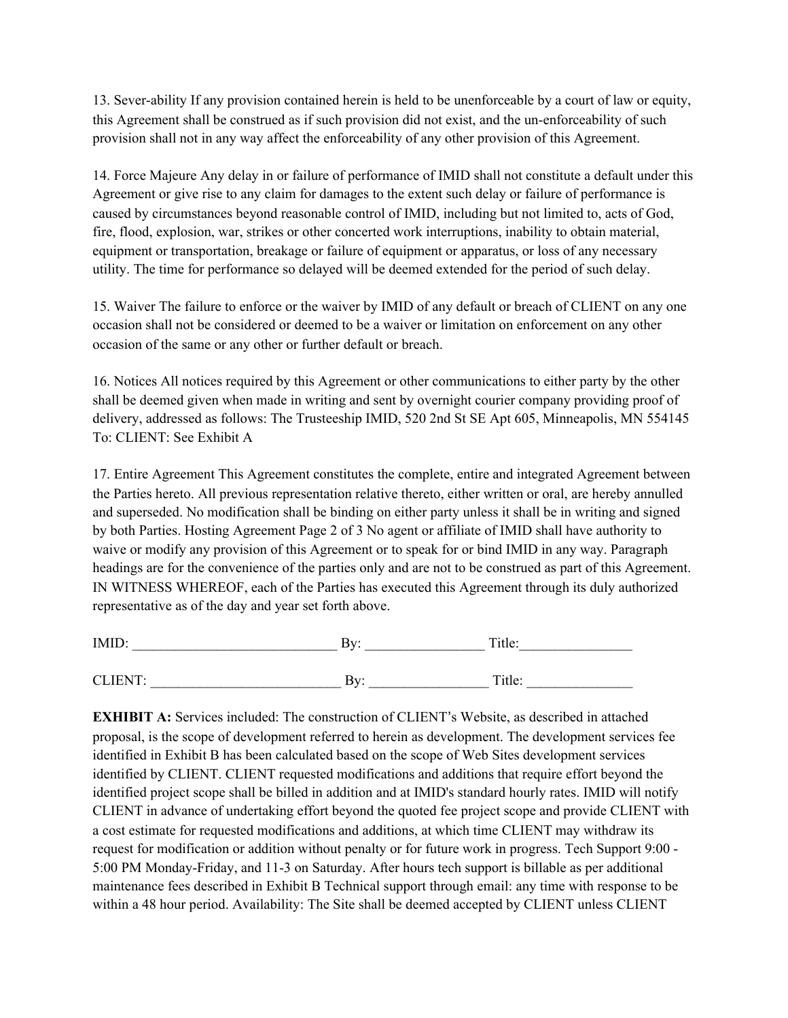13. Sever-ability If any provision contained herein is held to be unenforceable by a court of law or equity, this Agreement shall be construed as if such provision did not exist, and the un-enforceability of such provision shall not in any way affect the enforceability of any other provision of this Agreement.

14. Force Majeure Any delay in or failure of performance of IMID shall not constitute a default under this Agreement or give rise to any claim for damages to the extent such delay or failure of performance is caused by circumstances beyond reasonable control of IMID, including but not limited to, acts of God, fire, flood, explosion, war, strikes or other concerted work interruptions, inability to obtain material, equipment or transportation, breakage or failure of equipment or apparatus, or loss of any necessary utility. The time for performance so delayed will be deemed extended for the period of such delay.

15. Waiver The failure to enforce or the waiver by IMID of any default or breach of CLIENT on any one occasion shall not be considered or deemed to be a waiver or limitation on enforcement on any other occasion of the same or any other or further default or breach.

16. Notices All notices required by this Agreement or other communications to either party by the other shall be deemed given when made in writing and sent by overnight courier company providing proof of delivery, addressed as follows: The Trusteeship IMID, 520 2nd St SE Apt 605, Minneapolis, MN 554145 To: CLIENT: See Exhibit A

17. Entire Agreement This Agreement constitutes the complete, entire and integrated Agreement between the Parties hereto. All previous representation relative thereto, either written or oral, are hereby annulled and superseded. No modification shall be binding on either party unless it shall be in writing and signed by both Parties. Hosting Agreement Page 2 of 3 No agent or affiliate of IMID shall have authority to waive or modify any provision of this Agreement or to speak for or bind IMID in any way. Paragraph headings are for the convenience of the parties only and are not to be construed as part of this Agreement. IN WITNESS WHEREOF, each of the Parties has executed this Agreement through its duly authorized representative as of the day and year set forth above.

| <b>IMID</b>              | יי ב-<br>.,  | $T_{\rm H}$<br>. ILIU - |
|--------------------------|--------------|-------------------------|
|                          |              |                         |
| $CI$ IENT $\cdot$<br>◡∸∸ | $1 - r$<br>◡ | Title:                  |

**EXHIBIT A:** Services included: The construction of CLIENT's Website, as described in attached proposal, is the scope of development referred to herein as development. The development services fee identified in Exhibit B has been calculated based on the scope of Web Sites development services identified by CLIENT. CLIENT requested modifications and additions that require effort beyond the identified project scope shall be billed in addition and at IMID's standard hourly rates. IMID will notify CLIENT in advance of undertaking effort beyond the quoted fee project scope and provide CLIENT with a cost estimate for requested modifications and additions, at which time CLIENT may withdraw its request for modification or addition without penalty or for future work in progress. Tech Support 9:00 - 5:00 PM Monday-Friday, and 11-3 on Saturday. After hours tech support is billable as per additional maintenance fees described in Exhibit B Technical support through email: any time with response to be within a 48 hour period. Availability: The Site shall be deemed accepted by CLIENT unless CLIENT